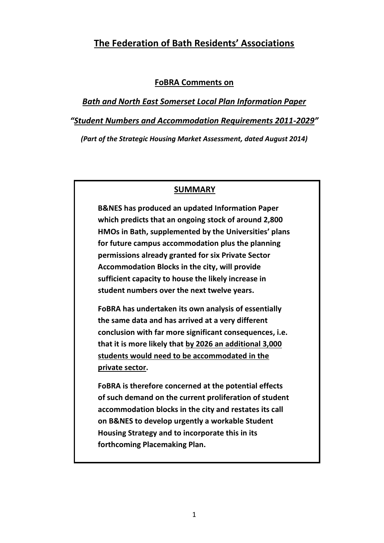# **The Federation of Bath Residents' Associations**

### **FoBRA Comments on**

*Bath and North East Somerset Local Plan Information Paper "Student Numbers and Accommodation Requirements 2011-2029"*

*(Part of the Strategic Housing Market Assessment, dated August 2014)*

### **SUMMARY**

**B&NES has produced an updated Information Paper which predicts that an ongoing stock of around 2,800 HMOs in Bath, supplemented by the Universities' plans for future campus accommodation plus the planning permissions already granted for six Private Sector Accommodation Blocks in the city, will provide sufficient capacity to house the likely increase in student numbers over the next twelve years.**

**FoBRA has undertaken its own analysis of essentially the same data and has arrived at a very different conclusion with far more significant consequences, i.e. that it is more likely that by 2026 an additional 3,000 students would need to be accommodated in the private sector.**

**FoBRA is therefore concerned at the potential effects of such demand on the current proliferation of student accommodation blocks in the city and restates its call on B&NES to develop urgently a workable Student Housing Strategy and to incorporate this in its forthcoming Placemaking Plan.**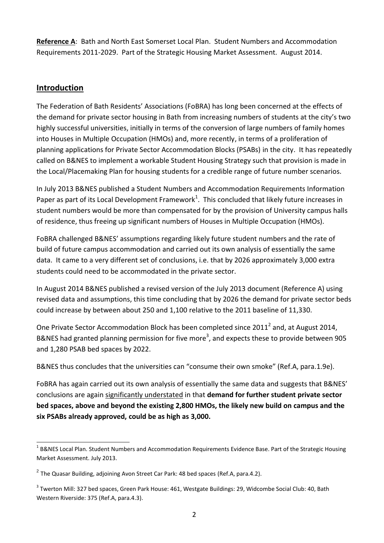**Reference A**: Bath and North East Somerset Local Plan. Student Numbers and Accommodation Requirements 2011-2029. Part of the Strategic Housing Market Assessment. August 2014.

# **Introduction**

1

The Federation of Bath Residents' Associations (FoBRA) has long been concerned at the effects of the demand for private sector housing in Bath from increasing numbers of students at the city's two highly successful universities, initially in terms of the conversion of large numbers of family homes into Houses in Multiple Occupation (HMOs) and, more recently, in terms of a proliferation of planning applications for Private Sector Accommodation Blocks (PSABs) in the city. It has repeatedly called on B&NES to implement a workable Student Housing Strategy such that provision is made in the Local/Placemaking Plan for housing students for a credible range of future number scenarios.

In July 2013 B&NES published a Student Numbers and Accommodation Requirements Information Paper as part of its Local Development Framework<sup>1</sup>. This concluded that likely future increases in student numbers would be more than compensated for by the provision of University campus halls of residence, thus freeing up significant numbers of Houses in Multiple Occupation (HMOs).

FoBRA challenged B&NES' assumptions regarding likely future student numbers and the rate of build of future campus accommodation and carried out its own analysis of essentially the same data. It came to a very different set of conclusions, i.e. that by 2026 approximately 3,000 extra students could need to be accommodated in the private sector.

In August 2014 B&NES published a revised version of the July 2013 document (Reference A) using revised data and assumptions, this time concluding that by 2026 the demand for private sector beds could increase by between about 250 and 1,100 relative to the 2011 baseline of 11,330.

One Private Sector Accommodation Block has been completed since 2011<sup>2</sup> and, at August 2014, B&NES had granted planning permission for five more<sup>3</sup>, and expects these to provide between 905 and 1,280 PSAB bed spaces by 2022.

B&NES thus concludes that the universities can "consume their own smoke" (Ref.A, para.1.9e).

FoBRA has again carried out its own analysis of essentially the same data and suggests that B&NES' conclusions are again significantly understated in that **demand for further student private sector bed spaces, above and beyond the existing 2,800 HMOs, the likely new build on campus and the six PSABs already approved, could be as high as 3,000.**

<sup>&</sup>lt;sup>1</sup> B&NES Local Plan. Student Numbers and Accommodation Requirements Evidence Base. Part of the Strategic Housing Market Assessment. July 2013.

 $^{2}$  The Quasar Building, adjoining Avon Street Car Park: 48 bed spaces (Ref.A, para.4.2).

<sup>&</sup>lt;sup>3</sup> Twerton Mill: 327 bed spaces, Green Park House: 461, Westgate Buildings: 29, Widcombe Social Club: 40, Bath Western Riverside: 375 (Ref.A, para.4.3).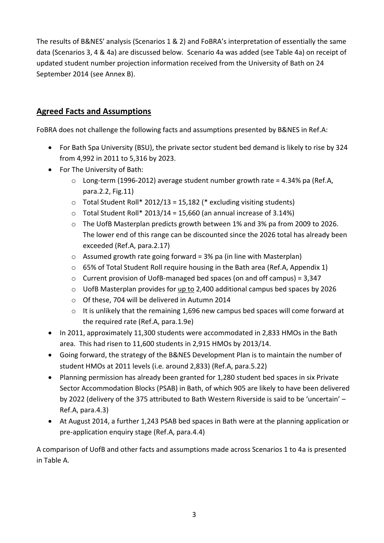The results of B&NES' analysis (Scenarios 1 & 2) and FoBRA's interpretation of essentially the same data (Scenarios 3, 4 & 4a) are discussed below. Scenario 4a was added (see Table 4a) on receipt of updated student number projection information received from the University of Bath on 24 September 2014 (see Annex B).

# **Agreed Facts and Assumptions**

FoBRA does not challenge the following facts and assumptions presented by B&NES in Ref.A:

- For Bath Spa University (BSU), the private sector student bed demand is likely to rise by 324 from 4,992 in 2011 to 5,316 by 2023.
- For The University of Bath:
	- $\circ$  Long-term (1996-2012) average student number growth rate = 4.34% pa (Ref.A. para.2.2, Fig.11)
	- $\circ$  Total Student Roll\* 2012/13 = 15.182 (\* excluding visiting students)
	- $\circ$  Total Student Roll\* 2013/14 = 15,660 (an annual increase of 3.14%)
	- o The UofB Masterplan predicts growth between 1% and 3% pa from 2009 to 2026. The lower end of this range can be discounted since the 2026 total has already been exceeded (Ref.A, para.2.17)
	- $\circ$  Assumed growth rate going forward = 3% pa (in line with Masterplan)
	- $\circ$  65% of Total Student Roll require housing in the Bath area (Ref.A, Appendix 1)
	- o Current provision of UofB-managed bed spaces (on and off campus) = 3,347
	- $\circ$  UofB Masterplan provides for up to 2,400 additional campus bed spaces by 2026
	- o Of these, 704 will be delivered in Autumn 2014
	- o It is unlikely that the remaining 1,696 new campus bed spaces will come forward at the required rate (Ref.A, para.1.9e)
- In 2011, approximately 11,300 students were accommodated in 2,833 HMOs in the Bath area. This had risen to 11,600 students in 2,915 HMOs by 2013/14.
- Going forward, the strategy of the B&NES Development Plan is to maintain the number of student HMOs at 2011 levels (i.e. around 2,833) (Ref.A, para.5.22)
- Planning permission has already been granted for 1,280 student bed spaces in six Private Sector Accommodation Blocks (PSAB) in Bath, of which 905 are likely to have been delivered by 2022 (delivery of the 375 attributed to Bath Western Riverside is said to be 'uncertain' – Ref.A, para.4.3)
- At August 2014, a further 1,243 PSAB bed spaces in Bath were at the planning application or pre-application enquiry stage (Ref.A, para.4.4)

A comparison of UofB and other facts and assumptions made across Scenarios 1 to 4a is presented in Table A.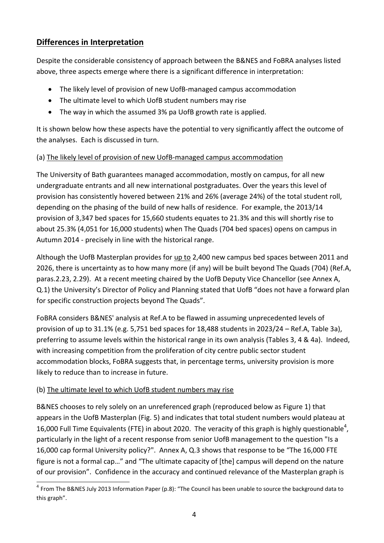# **Differences in Interpretation**

Despite the considerable consistency of approach between the B&NES and FoBRA analyses listed above, three aspects emerge where there is a significant difference in interpretation:

- The likely level of provision of new UofB-managed campus accommodation
- The ultimate level to which UofB student numbers may rise
- The way in which the assumed 3% pa UofB growth rate is applied.

It is shown below how these aspects have the potential to very significantly affect the outcome of the analyses. Each is discussed in turn.

## (a) The likely level of provision of new UofB-managed campus accommodation

The University of Bath guarantees managed accommodation, mostly on campus, for all new undergraduate entrants and all new international postgraduates. Over the years this level of provision has consistently hovered between 21% and 26% (average 24%) of the total student roll, depending on the phasing of the build of new halls of residence. For example, the 2013/14 provision of 3,347 bed spaces for 15,660 students equates to 21.3% and this will shortly rise to about 25.3% (4,051 for 16,000 students) when The Quads (704 bed spaces) opens on campus in Autumn 2014 - precisely in line with the historical range.

Although the UofB Masterplan provides for up to 2,400 new campus bed spaces between 2011 and 2026, there is uncertainty as to how many more (if any) will be built beyond The Quads (704) (Ref.A, paras.2.23, 2.29). At a recent meeting chaired by the UofB Deputy Vice Chancellor (see Annex A, Q.1) the University's Director of Policy and Planning stated that UofB "does not have a forward plan for specific construction projects beyond The Quads".

FoBRA considers B&NES' analysis at Ref.A to be flawed in assuming unprecedented levels of provision of up to 31.1% (e.g. 5,751 bed spaces for 18,488 students in 2023/24 – Ref.A, Table 3a), preferring to assume levels within the historical range in its own analysis (Tables 3, 4 & 4a). Indeed, with increasing competition from the proliferation of city centre public sector student accommodation blocks, FoBRA suggests that, in percentage terms, university provision is more likely to reduce than to increase in future.

## (b) The ultimate level to which UofB student numbers may rise

B&NES chooses to rely solely on an unreferenced graph (reproduced below as Figure 1) that appears in the UofB Masterplan (Fig. 5) and indicates that total student numbers would plateau at 16,000 Full Time Equivalents (FTE) in about 2020. The veracity of this graph is highly questionable<sup>4</sup>, particularly in the light of a recent response from senior UofB management to the question "Is a 16,000 cap formal University policy?". Annex A, Q.3 shows that response to be "The 16,000 FTE figure is not a formal cap…" and "The ultimate capacity of [the] campus will depend on the nature of our provision". Confidence in the accuracy and continued relevance of the Masterplan graph is

 4 From The B&NES July 2013 Information Paper (p.8): "The Council has been unable to source the background data to this graph".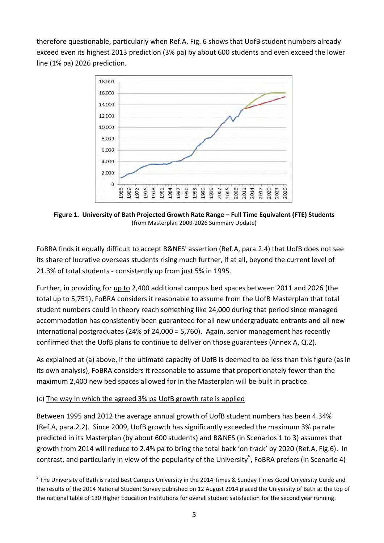therefore questionable, particularly when Ref.A. Fig. 6 shows that UofB student numbers already exceed even its highest 2013 prediction (3% pa) by about 600 students and even exceed the lower line (1% pa) 2026 prediction.



**Figure 1. University of Bath Projected Growth Rate Range – Full Time Equivalent (FTE) Students** (from Masterplan 2009-2026 Summary Update)

FoBRA finds it equally difficult to accept B&NES' assertion (Ref.A, para.2.4) that UofB does not see its share of lucrative overseas students rising much further, if at all, beyond the current level of 21.3% of total students - consistently up from just 5% in 1995.

Further, in providing for up to 2,400 additional campus bed spaces between 2011 and 2026 (the total up to 5,751), FoBRA considers it reasonable to assume from the UofB Masterplan that total student numbers could in theory reach something like 24,000 during that period since managed accommodation has consistently been guaranteed for all new undergraduate entrants and all new international postgraduates (24% of 24,000 = 5,760). Again, senior management has recently confirmed that the UofB plans to continue to deliver on those guarantees (Annex A, Q.2).

As explained at (a) above, if the ultimate capacity of UofB is deemed to be less than this figure (as in its own analysis), FoBRA considers it reasonable to assume that proportionately fewer than the maximum 2,400 new bed spaces allowed for in the Masterplan will be built in practice.

## (c) The way in which the agreed 3% pa UofB growth rate is applied

1

Between 1995 and 2012 the average annual growth of UofB student numbers has been 4.34% (Ref.A, para.2.2). Since 2009, UofB growth has significantly exceeded the maximum 3% pa rate predicted in its Masterplan (by about 600 students) and B&NES (in Scenarios 1 to 3) assumes that growth from 2014 will reduce to 2.4% pa to bring the total back 'on track' by 2020 (Ref.A, Fig.6). In contrast, and particularly in view of the popularity of the University<sup>5</sup>, FoBRA prefers (in Scenario 4)

**<sup>5</sup>** The University of Bath is rated Best Campus University in the 2014 Times & Sunday Times Good University Guide and the results of the 2014 National Student Survey published on 12 August 2014 placed the University of Bath at the top of the national table of 130 Higher Education Institutions for overall student satisfaction for the second year running.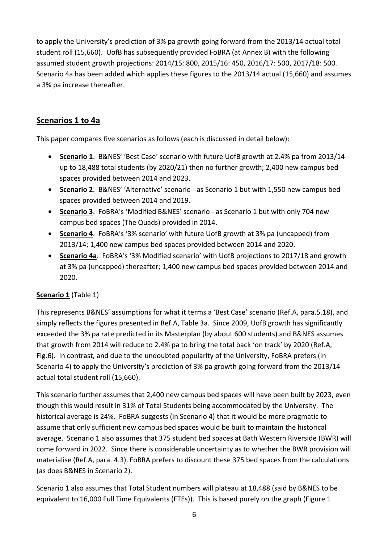to apply the University's prediction of 3% pa growth going forward from the 2013/14 actual total student roll (15,660). UofB has subsequently provided FoBRA (at Annex B) with the following assumed student growth projections: 2014/15: 800, 2015/16: 450, 2016/17: 500, 2017/18: 500. Scenario 4a has been added which applies these figures to the 2013/14 actual (15,660) and assumes a 3% pa increase thereafter.

# **Scenarios 1 to 4a**

This paper compares five scenarios as follows (each is discussed in detail below):

- **Scenario 1**. B&NES' 'Best Case' scenario with future UofB growth at 2.4% pa from 2013/14 up to 18,488 total students (by 2020/21) then no further growth; 2,400 new campus bed spaces provided between 2014 and 2023.
- **Scenario 2**. B&NES' 'Alternative' scenario as Scenario 1 but with 1,550 new campus bed spaces provided between 2014 and 2019.
- **Scenario 3**. FoBRA's 'Modified B&NES' scenario as Scenario 1 but with only 704 new campus bed spaces (The Quads) provided in 2014.
- **Scenario 4**. FoBRA's '3% scenario' with future UofB growth at 3% pa (uncapped) from 2013/14; 1,400 new campus bed spaces provided between 2014 and 2020.
- **Scenario 4a**. FoBRA's '3% Modified scenario' with UofB projections to 2017/18 and growth at 3% pa (uncapped) thereafter; 1,400 new campus bed spaces provided between 2014 and 2020.

## **Scenario 1** (Table 1)

This represents B&NES' assumptions for what it terms a 'Best Case' scenario (Ref.A, para.5.18), and simply reflects the figures presented in Ref.A, Table 3a. Since 2009, UofB growth has significantly exceeded the 3% pa rate predicted in its Masterplan (by about 600 students) and B&NES assumes that growth from 2014 will reduce to 2.4% pa to bring the total back 'on track' by 2020 (Ref.A, Fig.6). In contrast, and due to the undoubted popularity of the University, FoBRA prefers (in Scenario 4) to apply the University's prediction of 3% pa growth going forward from the 2013/14 actual total student roll (15,660).

This scenario further assumes that 2,400 new campus bed spaces will have been built by 2023, even though this would result in 31% of Total Students being accommodated by the University. The historical average is 24%. FoBRA suggests (in Scenario 4) that it would be more pragmatic to assume that only sufficient new campus bed spaces would be built to maintain the historical average. Scenario 1 also assumes that 375 student bed spaces at Bath Western Riverside (BWR) will come forward in 2022. Since there is considerable uncertainty as to whether the BWR provision will materialise (Ref.A, para. 4.3), FoBRA prefers to discount these 375 bed spaces from the calculations (as does B&NES in Scenario 2).

Scenario 1 also assumes that Total Student numbers will plateau at 18,488 (said by B&NES to be equivalent to 16,000 Full Time Equivalents (FTEs)). This is based purely on the graph (Figure 1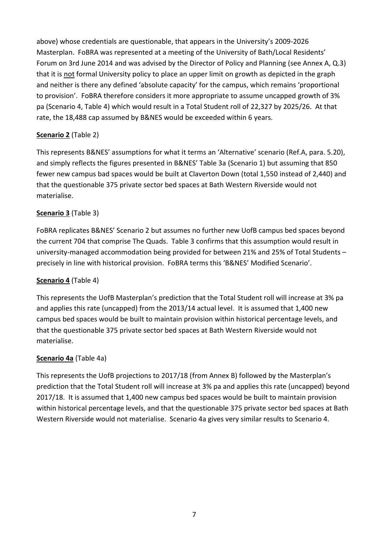above) whose credentials are questionable, that appears in the University's 2009-2026 Masterplan. FoBRA was represented at a meeting of the University of Bath/Local Residents' Forum on 3rd June 2014 and was advised by the Director of Policy and Planning (see Annex A, Q.3) that it is not formal University policy to place an upper limit on growth as depicted in the graph and neither is there any defined 'absolute capacity' for the campus, which remains 'proportional to provision'. FoBRA therefore considers it more appropriate to assume uncapped growth of 3% pa (Scenario 4, Table 4) which would result in a Total Student roll of 22,327 by 2025/26. At that rate, the 18,488 cap assumed by B&NES would be exceeded within 6 years.

# **Scenario 2** (Table 2)

This represents B&NES' assumptions for what it terms an 'Alternative' scenario (Ref.A, para. 5.20), and simply reflects the figures presented in B&NES' Table 3a (Scenario 1) but assuming that 850 fewer new campus bad spaces would be built at Claverton Down (total 1,550 instead of 2,440) and that the questionable 375 private sector bed spaces at Bath Western Riverside would not materialise.

# **Scenario 3** (Table 3)

FoBRA replicates B&NES' Scenario 2 but assumes no further new UofB campus bed spaces beyond the current 704 that comprise The Quads. Table 3 confirms that this assumption would result in university-managed accommodation being provided for between 21% and 25% of Total Students – precisely in line with historical provision. FoBRA terms this 'B&NES' Modified Scenario'.

## **Scenario 4** (Table 4)

This represents the UofB Masterplan's prediction that the Total Student roll will increase at 3% pa and applies this rate (uncapped) from the 2013/14 actual level. It is assumed that 1,400 new campus bed spaces would be built to maintain provision within historical percentage levels, and that the questionable 375 private sector bed spaces at Bath Western Riverside would not materialise.

## **Scenario 4a** (Table 4a)

This represents the UofB projections to 2017/18 (from Annex B) followed by the Masterplan's prediction that the Total Student roll will increase at 3% pa and applies this rate (uncapped) beyond 2017/18. It is assumed that 1,400 new campus bed spaces would be built to maintain provision within historical percentage levels, and that the questionable 375 private sector bed spaces at Bath Western Riverside would not materialise. Scenario 4a gives very similar results to Scenario 4.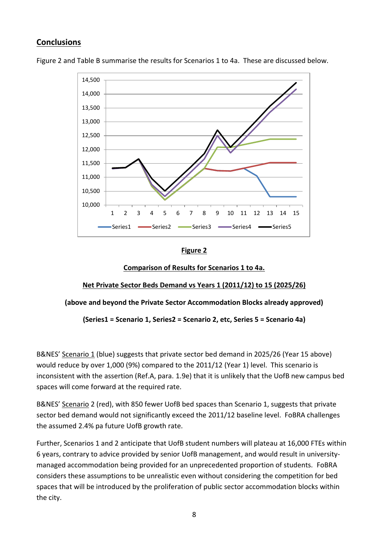# **Conclusions**



Figure 2 and Table B summarise the results for Scenarios 1 to 4a. These are discussed below.

### **Figure 2**

### **Comparison of Results for Scenarios 1 to 4a.**

## **Net Private Sector Beds Demand vs Years 1 (2011/12) to 15 (2025/26)**

#### **(above and beyond the Private Sector Accommodation Blocks already approved)**

**(Series1 = Scenario 1, Series2 = Scenario 2, etc, Series 5 = Scenario 4a)**

B&NES' Scenario 1 (blue) suggests that private sector bed demand in 2025/26 (Year 15 above) would reduce by over 1,000 (9%) compared to the 2011/12 (Year 1) level. This scenario is inconsistent with the assertion (Ref.A, para. 1.9e) that it is unlikely that the UofB new campus bed spaces will come forward at the required rate.

B&NES' Scenario 2 (red), with 850 fewer UofB bed spaces than Scenario 1, suggests that private sector bed demand would not significantly exceed the 2011/12 baseline level. FoBRA challenges the assumed 2.4% pa future UofB growth rate.

Further, Scenarios 1 and 2 anticipate that UofB student numbers will plateau at 16,000 FTEs within 6 years, contrary to advice provided by senior UofB management, and would result in universitymanaged accommodation being provided for an unprecedented proportion of students. FoBRA considers these assumptions to be unrealistic even without considering the competition for bed spaces that will be introduced by the proliferation of public sector accommodation blocks within the city.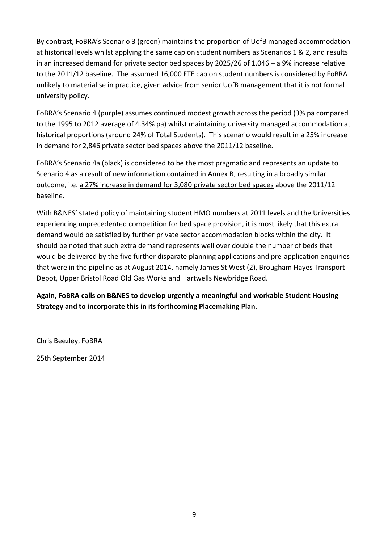By contrast, FoBRA's Scenario 3 (green) maintains the proportion of UofB managed accommodation at historical levels whilst applying the same cap on student numbers as Scenarios 1 & 2, and results in an increased demand for private sector bed spaces by 2025/26 of 1,046 – a 9% increase relative to the 2011/12 baseline. The assumed 16,000 FTE cap on student numbers is considered by FoBRA unlikely to materialise in practice, given advice from senior UofB management that it is not formal university policy.

FoBRA's Scenario 4 (purple) assumes continued modest growth across the period (3% pa compared to the 1995 to 2012 average of 4.34% pa) whilst maintaining university managed accommodation at historical proportions (around 24% of Total Students). This scenario would result in a 25% increase in demand for 2,846 private sector bed spaces above the 2011/12 baseline.

FoBRA's Scenario 4a (black) is considered to be the most pragmatic and represents an update to Scenario 4 as a result of new information contained in Annex B, resulting in a broadly similar outcome, i.e. a 27% increase in demand for 3,080 private sector bed spaces above the 2011/12 baseline.

With B&NES' stated policy of maintaining student HMO numbers at 2011 levels and the Universities experiencing unprecedented competition for bed space provision, it is most likely that this extra demand would be satisfied by further private sector accommodation blocks within the city. It should be noted that such extra demand represents well over double the number of beds that would be delivered by the five further disparate planning applications and pre-application enquiries that were in the pipeline as at August 2014, namely James St West (2), Brougham Hayes Transport Depot, Upper Bristol Road Old Gas Works and Hartwells Newbridge Road.

# **Again, FoBRA calls on B&NES to develop urgently a meaningful and workable Student Housing Strategy and to incorporate this in its forthcoming Placemaking Plan**.

Chris Beezley, FoBRA

25th September 2014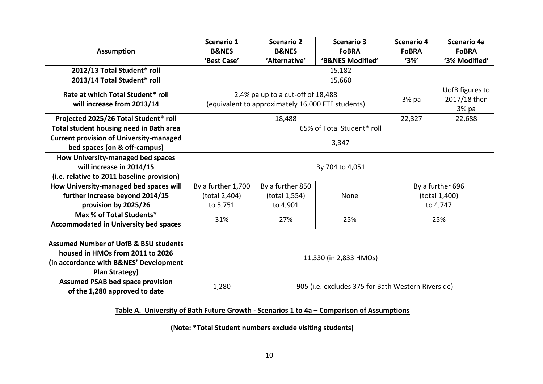| <b>Assumption</b>                                                                                                                                      | Scenario 1<br><b>B&amp;NES</b>                                               | Scenario 2<br><b>B&amp;NES</b>                    | <b>Scenario 3</b><br><b>FoBRA</b> | <b>Scenario 4</b><br><b>FoBRA</b> | Scenario 4a<br><b>FoBRA</b> |  |  |  |  |  |
|--------------------------------------------------------------------------------------------------------------------------------------------------------|------------------------------------------------------------------------------|---------------------------------------------------|-----------------------------------|-----------------------------------|-----------------------------|--|--|--|--|--|
|                                                                                                                                                        | 'Best Case'                                                                  | 'Alternative'                                     | 'B&NES Modified'                  | $'3\%'$                           | '3% Modified'               |  |  |  |  |  |
| 2012/13 Total Student* roll                                                                                                                            |                                                                              |                                                   | 15,182                            |                                   |                             |  |  |  |  |  |
| 2013/14 Total Student* roll                                                                                                                            |                                                                              | 15,660                                            |                                   |                                   |                             |  |  |  |  |  |
| Rate at which Total Student* roll                                                                                                                      |                                                                              | 2.4% pa up to a cut-off of 18,488                 |                                   |                                   | UofB figures to             |  |  |  |  |  |
| will increase from 2013/14                                                                                                                             |                                                                              | (equivalent to approximately 16,000 FTE students) | 3% pa                             | 2017/18 then<br>3% pa             |                             |  |  |  |  |  |
| Projected 2025/26 Total Student* roll                                                                                                                  |                                                                              | 22,688                                            |                                   |                                   |                             |  |  |  |  |  |
| Total student housing need in Bath area                                                                                                                | 65% of Total Student* roll                                                   |                                                   |                                   |                                   |                             |  |  |  |  |  |
| <b>Current provision of University-managed</b>                                                                                                         |                                                                              |                                                   |                                   |                                   |                             |  |  |  |  |  |
| bed spaces (on & off-campus)                                                                                                                           | 3,347                                                                        |                                                   |                                   |                                   |                             |  |  |  |  |  |
| How University-managed bed spaces                                                                                                                      |                                                                              |                                                   |                                   |                                   |                             |  |  |  |  |  |
| will increase in 2014/15                                                                                                                               |                                                                              |                                                   | By 704 to 4,051                   |                                   |                             |  |  |  |  |  |
| (i.e. relative to 2011 baseline provision)                                                                                                             |                                                                              |                                                   |                                   |                                   |                             |  |  |  |  |  |
| How University-managed bed spaces will                                                                                                                 | By a further 1,700                                                           | By a further 850                                  |                                   | By a further 696                  |                             |  |  |  |  |  |
| further increase beyond 2014/15                                                                                                                        | (total 2,404)                                                                | (total 1,554)                                     | None                              | (total 1,400)                     |                             |  |  |  |  |  |
| provision by 2025/26                                                                                                                                   | to 5,751                                                                     | to 4,901                                          |                                   |                                   | to 4,747                    |  |  |  |  |  |
| Max % of Total Students*                                                                                                                               | 31%                                                                          | 27%                                               | 25%                               |                                   | 25%                         |  |  |  |  |  |
| <b>Accommodated in University bed spaces</b>                                                                                                           |                                                                              |                                                   |                                   |                                   |                             |  |  |  |  |  |
|                                                                                                                                                        |                                                                              |                                                   |                                   |                                   |                             |  |  |  |  |  |
| <b>Assumed Number of UofB &amp; BSU students</b>                                                                                                       |                                                                              |                                                   |                                   |                                   |                             |  |  |  |  |  |
|                                                                                                                                                        |                                                                              |                                                   |                                   |                                   |                             |  |  |  |  |  |
|                                                                                                                                                        |                                                                              |                                                   |                                   |                                   |                             |  |  |  |  |  |
| <b>Plan Strategy)</b>                                                                                                                                  |                                                                              |                                                   |                                   |                                   |                             |  |  |  |  |  |
|                                                                                                                                                        | 1,280                                                                        |                                                   |                                   |                                   |                             |  |  |  |  |  |
| housed in HMOs from 2011 to 2026<br>(in accordance with B&NES' Development<br><b>Assumed PSAB bed space provision</b><br>of the 1,280 approved to date | 11,330 (in 2,833 HMOs)<br>905 (i.e. excludes 375 for Bath Western Riverside) |                                                   |                                   |                                   |                             |  |  |  |  |  |

# **Table A. University of Bath Future Growth - Scenarios 1 to 4a – Comparison of Assumptions**

**(Note: \*Total Student numbers exclude visiting students)**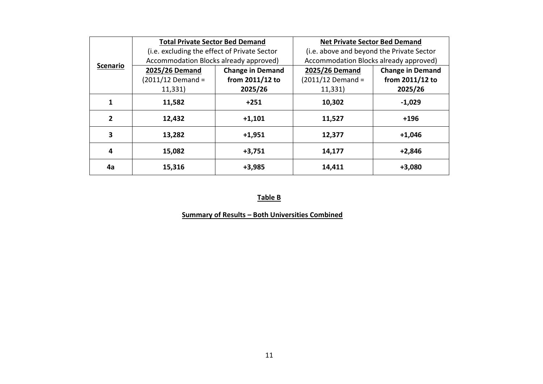|                 | <b>Total Private Sector Bed Demand</b>       |                         | <b>Net Private Sector Bed Demand</b>      |                         |  |  |  |  |  |
|-----------------|----------------------------------------------|-------------------------|-------------------------------------------|-------------------------|--|--|--|--|--|
|                 | (i.e. excluding the effect of Private Sector |                         | (i.e. above and beyond the Private Sector |                         |  |  |  |  |  |
| <b>Scenario</b> | Accommodation Blocks already approved)       |                         | Accommodation Blocks already approved)    |                         |  |  |  |  |  |
|                 | 2025/26 Demand                               | <b>Change in Demand</b> | 2025/26 Demand                            | <b>Change in Demand</b> |  |  |  |  |  |
|                 | $(2011/12$ Demand =                          | from 2011/12 to         | $(2011/12$ Demand =                       | from 2011/12 to         |  |  |  |  |  |
|                 | 11,331)                                      | 2025/26                 | 11,331)                                   | 2025/26                 |  |  |  |  |  |
| 1               | 11,582                                       | $+251$                  | 10,302                                    | $-1,029$                |  |  |  |  |  |
| $\mathbf{2}$    | 12,432                                       | $+1,101$                | 11,527                                    | $+196$                  |  |  |  |  |  |
| 3               | 13,282                                       | $+1,951$                | 12,377                                    | $+1,046$                |  |  |  |  |  |
| 4               | 15,082                                       | $+3,751$                | 14,177                                    | $+2,846$                |  |  |  |  |  |
| 4a              | 15,316                                       | $+3,985$                | 14,411                                    | $+3,080$                |  |  |  |  |  |

### **Table B**

# **Summary of Results – Both Universities Combined**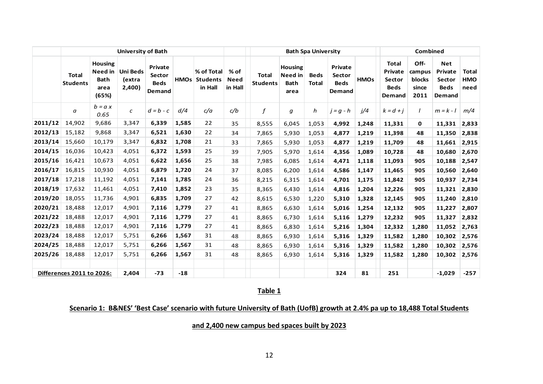|         |                                  |                                                           | <b>University of Bath</b>           |                                            |       |                                               |                                  |                                 |                                                  | <b>Bath Spa University</b>  |                                            | <b>Combined</b> |                                                            |                                           |                                                          |                                    |  |
|---------|----------------------------------|-----------------------------------------------------------|-------------------------------------|--------------------------------------------|-------|-----------------------------------------------|----------------------------------|---------------------------------|--------------------------------------------------|-----------------------------|--------------------------------------------|-----------------|------------------------------------------------------------|-------------------------------------------|----------------------------------------------------------|------------------------------------|--|
|         | <b>Total</b><br><b>Students</b>  | <b>Housing</b><br>Need in<br><b>Bath</b><br>area<br>(65%) | <b>Uni Beds</b><br>(extra<br>2,400) | Private<br>Sector<br><b>Beds</b><br>Demand |       | % of Total<br><b>HMOs Students</b><br>in Hall | $%$ of<br><b>Need</b><br>in Hall | <b>Total</b><br><b>Students</b> | <b>Housing</b><br>Need in<br><b>Bath</b><br>area | <b>Beds</b><br><b>Total</b> | Private<br>Sector<br><b>Beds</b><br>Demand | <b>HMOs</b>     | <b>Total</b><br>Private<br>Sector<br><b>Beds</b><br>Demand | Off-<br>campus<br>blocks<br>since<br>2011 | <b>Net</b><br>Private<br>Sector<br><b>Beds</b><br>Demand | <b>Total</b><br><b>HMO</b><br>need |  |
|         | a                                | $b = a x$<br>0.65                                         | с                                   | $d = b - c$                                | d/4   | c/a                                           | c/b                              | $\boldsymbol{f}$                | g                                                | h                           | $j = g - h$                                | i/4             | $k = d + i$                                                | $\prime$                                  | $m = k - l$                                              | m/4                                |  |
| 2011/12 | 14,902                           | 9,686                                                     | 3,347                               | 6,339                                      | 1,585 | 22                                            | 35                               | 8,555                           | 6,045                                            | 1,053                       | 4,992                                      | 1,248           | 11,331                                                     | 0                                         | 11,331                                                   | 2,833                              |  |
| 2012/13 | 15,182                           | 9,868                                                     | 3,347                               | 6,521                                      | 1,630 | 22                                            | 34                               | 7,865                           | 5,930                                            | 1,053                       | 4,877                                      | 1,219           | 11,398                                                     | 48                                        | 11,350                                                   | 2,838                              |  |
| 2013/14 | 15,660                           | 10,179                                                    | 3,347                               | 6,832                                      | 1,708 | 21                                            | 33                               | 7,865                           | 5,930                                            | 1,053                       | 4,877                                      | 1,219           | 11,709                                                     | 48                                        | 11,661                                                   | 2,915                              |  |
| 2014/15 | 16,036                           | 10,423                                                    | 4,051                               | 6,372                                      | 1,593 | 25                                            | 39                               | 7,905                           | 5,970                                            | 1,614                       | 4,356                                      | 1,089           | 10,728                                                     | 48                                        | 10,680                                                   | 2,670                              |  |
| 2015/16 | 16,421                           | 10,673                                                    | 4,051                               | 6,622                                      | 1,656 | 25                                            | 38                               | 7,985                           | 6,085                                            | 1,614                       | 4,471                                      | 1,118           | 11,093                                                     | 905                                       | 10,188                                                   | 2,547                              |  |
| 2016/17 | 16,815                           | 10,930                                                    | 4,051                               | 6,879                                      | 1,720 | 24                                            | 37                               | 8,085                           | 6,200                                            | 1,614                       | 4,586                                      | 1,147           | 11,465                                                     | 905                                       | 10,560                                                   | 2,640                              |  |
| 2017/18 | 17,218                           | 11,192                                                    | 4,051                               | 7,141                                      | 1,785 | 24                                            | 36                               | 8,215                           | 6,315                                            | 1,614                       | 4,701                                      | 1,175           | 11,842                                                     | 905                                       | 10,937                                                   | 2,734                              |  |
| 2018/19 | 17,632                           | 11,461                                                    | 4,051                               | 7,410                                      | 1,852 | 23                                            | 35                               | 8,365                           | 6,430                                            | 1,614                       | 4,816                                      | 1,204           | 12,226                                                     | 905                                       | 11,321                                                   | 2,830                              |  |
| 2019/20 | 18,055                           | 11,736                                                    | 4,901                               | 6,835                                      | 1,709 | 27                                            | 42                               | 8,615                           | 6,530                                            | 1,220                       | 5,310                                      | 1,328           | 12,145                                                     | 905                                       | 11,240                                                   | 2,810                              |  |
| 2020/21 | 18,488                           | 12,017                                                    | 4,901                               | 7,116                                      | 1,779 | 27                                            | 41                               | 8,865                           | 6,630                                            | 1,614                       | 5,016                                      | 1,254           | 12,132                                                     | 905                                       | 11,227                                                   | 2,807                              |  |
| 2021/22 | 18,488                           | 12,017                                                    | 4,901                               | 7,116                                      | 1,779 | 27                                            | 41                               | 8,865                           | 6,730                                            | 1,614                       | 5,116                                      | 1,279           | 12,232                                                     | 905                                       | 11,327                                                   | 2,832                              |  |
| 2022/23 | 18,488                           | 12,017                                                    | 4,901                               | 7,116                                      | 1,779 | 27                                            | 41                               | 8,865                           | 6,830                                            | 1,614                       | 5,216                                      | 1,304           | 12,332                                                     | 1,280                                     | 11,052                                                   | 2,763                              |  |
| 2023/24 | 18,488                           | 12,017                                                    | 5,751                               | 6,266                                      | 1,567 | 31                                            | 48                               | 8,865                           | 6,930                                            | 1,614                       | 5,316                                      | 1,329           | 11,582                                                     | 1,280                                     | 10,302                                                   | 2,576                              |  |
| 2024/25 | 18,488                           | 12,017                                                    | 5,751                               | 6,266                                      | 1,567 | 31                                            | 48                               | 8,865                           | 6,930                                            | 1,614                       | 5,316                                      | 1,329           | 11,582                                                     | 1,280                                     | 10,302                                                   | 2,576                              |  |
| 2025/26 | 18,488                           | 12,017                                                    | 5,751                               | 6,266                                      | 1,567 | 31                                            | 48                               | 8,865                           | 6,930                                            | 1,614                       | 5,316                                      | 1,329           | 11,582                                                     | 1,280                                     | 10,302                                                   | 2,576                              |  |
|         | <b>Differences 2011 to 2026:</b> |                                                           | 2,404                               | $-73$                                      | $-18$ |                                               |                                  |                                 |                                                  |                             | 324                                        | 81              | 251                                                        |                                           | $-1,029$                                                 | $-257$                             |  |

### **Scenario 1: B&NES' 'Best Case' scenario with future University of Bath (UofB) growth at 2.4% pa up to 18,488 Total Students**

**and 2,400 new campus bed spaces built by 2023**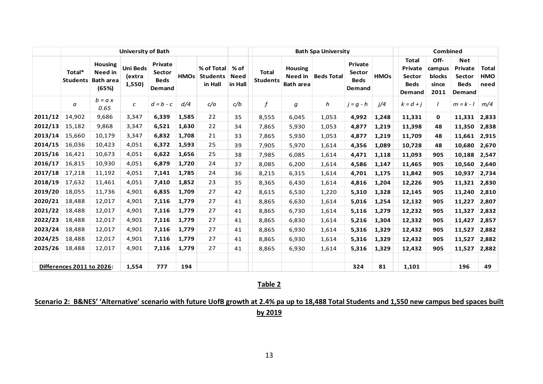|                                |                          |                                               | <b>Bath Spa University</b> |                                            | Combined    |                                                            |                                           |                                                          |                                    |
|--------------------------------|--------------------------|-----------------------------------------------|----------------------------|--------------------------------------------|-------------|------------------------------------------------------------|-------------------------------------------|----------------------------------------------------------|------------------------------------|
| % of<br><b>Need</b><br>in Hall | Total<br><b>Students</b> | <b>Housing</b><br>Need in<br><b>Bath area</b> | <b>Beds Total</b>          | Private<br>Sector<br><b>Beds</b><br>Demand | <b>HMOs</b> | <b>Total</b><br>Private<br>Sector<br><b>Beds</b><br>Demand | Off-<br>campus<br>blocks<br>since<br>2011 | <b>Net</b><br>Private<br>Sector<br><b>Beds</b><br>Demand | <b>Total</b><br><b>HMO</b><br>need |
| $\boldsymbol{f}$<br>c/b        |                          | g                                             | h                          | $j = g - h$                                | i/4         | $k = d + j$                                                |                                           | $m = k - l$                                              | m/4                                |
| 35                             | 8,555                    | 6,045                                         | 1,053                      | 4,992                                      | 1,248       | 11,331                                                     | $\mathbf{0}$                              | 11,331                                                   | 2,833                              |
| 34                             | 7,865                    | 5,930                                         | 1,053                      | 4,877                                      | 1,219       | 11,398                                                     | 48                                        | 11,350                                                   | 2,838                              |
| 33                             | 7,865                    | 5,930                                         | 1,053                      | 4,877                                      | 1,219       | 11,709                                                     | 48                                        | 11,661                                                   | 2,915                              |
| 39                             | 7,905                    | 5,970                                         | 1,614                      | 4,356                                      | 1,089       | 10,728                                                     | 48                                        | 10,680                                                   | 2,670                              |
| 38                             | 7,985                    | 6,085                                         | 1,614                      | 4,471                                      | 1,118       | 11,093                                                     | 905                                       | 10,188                                                   | 2,547                              |
| 37                             | 8,085                    | 6,200                                         | 1,614                      | 4,586                                      | 1,147       | 11,465                                                     | 905                                       | 10,560                                                   | 2,640                              |
| 36                             | 8,215                    | 6,315                                         | 1,614                      | 4,701                                      | 1,175       | 11,842                                                     | 905                                       | 10,937                                                   | 2,734                              |
| 35                             | 8,365                    | 6,430                                         | 1,614                      | 4,816                                      | 1,204       | 12,226                                                     | 905                                       | 11,321                                                   | 2,830                              |
| 42                             | 8,615                    | 6,530                                         | 1,220                      | 5,310                                      | 1,328       | 12,145                                                     | 905                                       | 11,240                                                   | 2,810                              |
| 41                             | 8,865                    | 6,630                                         | 1,614                      | 5,016                                      | 1,254       | 12,132                                                     | 905                                       | 11,227                                                   | 2,807                              |
| 41                             | 8,865                    | 6,730                                         | 1,614                      | 5,116                                      | 1,279       | 12,232                                                     | 905                                       | 11,327                                                   | 2,832                              |
| 41                             | 8,865                    | 6,830                                         | 1,614                      | 5,216                                      | 1,304       | 12,332                                                     | 905                                       | 11,427                                                   | 2,857                              |
| 41                             | 8,865                    | 6,930                                         | 1,614                      | 5,316                                      | 1,329       | 12,432                                                     | 905                                       | 11,527                                                   | 2,882                              |
| 41                             | 8,865                    | 6,930                                         | 1,614                      | 5,316                                      | 1,329       | 12,432                                                     | 905                                       | 11,527                                                   | 2,882                              |
| 41                             | 8,865                    | 6,930                                         | 1,614                      | 5,316                                      | 1,329       | 12,432                                                     | 905                                       | 11,527                                                   | 2,882                              |
|                                |                          |                                               |                            | 324                                        | 81          | 1,101                                                      |                                           | 196                                                      | 49                                 |
|                                |                          |                                               | $T_2$ blo $2$              |                                            |             |                                                            |                                           |                                                          |                                    |

# **Scenario 2: B&NES' 'Alternative' scenario with future UofB growth at 2.4% pa up to 18,488 Total Students and 1,550 new campus bed spaces built by 2019**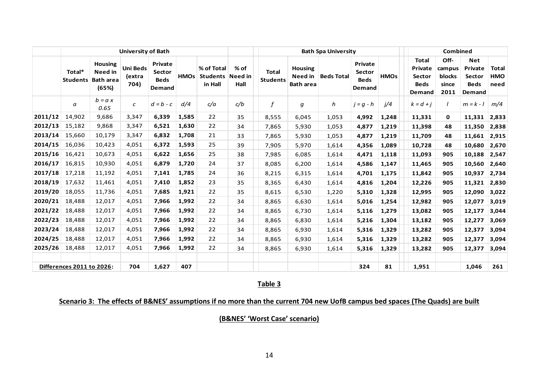|         |                                  |                                                               | <b>University of Bath</b>         |                                            |             |                                          |                           |                                 |                                               | <b>Bath Spa University</b> |                                            | <b>Combined</b> |                                                            |                                           |                                                          |                             |  |
|---------|----------------------------------|---------------------------------------------------------------|-----------------------------------|--------------------------------------------|-------------|------------------------------------------|---------------------------|---------------------------------|-----------------------------------------------|----------------------------|--------------------------------------------|-----------------|------------------------------------------------------------|-------------------------------------------|----------------------------------------------------------|-----------------------------|--|
|         | Total*<br><b>Students</b>        | <b>Housing</b><br><b>Need in</b><br><b>Bath area</b><br>(65%) | <b>Uni Beds</b><br>(extra<br>704) | Private<br>Sector<br><b>Beds</b><br>Demand | <b>HMOs</b> | % of Total<br><b>Students</b><br>in Hall | $%$ of<br>Need in<br>Hall | <b>Total</b><br><b>Students</b> | <b>Housing</b><br>Need in<br><b>Bath area</b> | <b>Beds Total</b>          | Private<br>Sector<br><b>Beds</b><br>Demand | <b>HMOs</b>     | <b>Total</b><br>Private<br>Sector<br><b>Beds</b><br>Demand | Off-<br>campus<br>blocks<br>since<br>2011 | <b>Net</b><br>Private<br>Sector<br><b>Beds</b><br>Demand | Total<br><b>HMO</b><br>need |  |
|         | а                                | $b = a x$<br>0.65                                             | $\epsilon$                        | $d = b - c$                                | d/4         | c/a                                      | c/b                       | f                               | g                                             | h                          | $j = g - h$                                | i/4             | $k = d + j$                                                | $\prime$                                  | $m = k - l$                                              | m/4                         |  |
| 2011/12 | 14,902                           | 9,686                                                         | 3,347                             | 6,339                                      | 1,585       | 22                                       | 35                        | 8,555                           | 6,045                                         | 1,053                      | 4,992                                      | 1,248           | 11,331                                                     | 0                                         | 11,331                                                   | 2,833                       |  |
| 2012/13 | 15,182                           | 9,868                                                         | 3,347                             | 6,521                                      | 1,630       | 22                                       | 34                        | 7,865                           | 5,930                                         | 1,053                      | 4,877                                      | 1,219           | 11,398                                                     | 48                                        | 11,350                                                   | 2,838                       |  |
| 2013/14 | 15,660                           | 10,179                                                        | 3,347                             | 6,832                                      | 1,708       | 21                                       | 33                        | 7,865                           | 5,930                                         | 1,053                      | 4,877                                      | 1,219           | 11,709                                                     | 48                                        | 11,661                                                   | 2,915                       |  |
| 2014/15 | 16,036                           | 10,423                                                        | 4,051                             | 6,372                                      | 1,593       | 25                                       | 39                        | 7,905                           | 5,970                                         | 1,614                      | 4,356                                      | 1,089           | 10,728                                                     | 48                                        | 10,680                                                   | 2,670                       |  |
| 2015/16 | 16,421                           | 10,673                                                        | 4,051                             | 6,622                                      | 1,656       | 25                                       | 38                        | 7,985                           | 6,085                                         | 1,614                      | 4,471                                      | 1,118           | 11,093                                                     | 905                                       | 10,188                                                   | 2,547                       |  |
| 2016/17 | 16,815                           | 10,930                                                        | 4,051                             | 6,879                                      | 1,720       | 24                                       | 37                        | 8,085                           | 6,200                                         | 1,614                      | 4,586                                      | 1,147           | 11,465                                                     | 905                                       | 10,560                                                   | 2,640                       |  |
| 2017/18 | 17,218                           | 11,192                                                        | 4,051                             | 7,141                                      | 1,785       | 24                                       | 36                        | 8,215                           | 6,315                                         | 1.614                      | 4,701                                      | 1,175           | 11,842                                                     | 905                                       | 10,937                                                   | 2,734                       |  |
| 2018/19 | 17,632                           | 11,461                                                        | 4,051                             | 7,410                                      | 1,852       | 23                                       | 35                        | 8,365                           | 6,430                                         | 1,614                      | 4,816                                      | 1,204           | 12,226                                                     | 905                                       | 11,321                                                   | 2,830                       |  |
| 2019/20 | 18,055                           | 11,736                                                        | 4,051                             | 7,685                                      | 1,921       | 22                                       | 35                        | 8,615                           | 6,530                                         | 1,220                      | 5,310                                      | 1,328           | 12,995                                                     | 905                                       | 12,090                                                   | 3,022                       |  |
| 2020/21 | 18,488                           | 12,017                                                        | 4,051                             | 7,966                                      | 1,992       | 22                                       | 34                        | 8,865                           | 6,630                                         | 1,614                      | 5,016                                      | 1,254           | 12,982                                                     | 905                                       | 12,077                                                   | 3,019                       |  |
| 2021/22 | 18,488                           | 12,017                                                        | 4,051                             | 7,966                                      | 1,992       | 22                                       | 34                        | 8,865                           | 6,730                                         | 1,614                      | 5,116                                      | 1,279           | 13,082                                                     | 905                                       | 12,177                                                   | 3,044                       |  |
| 2022/23 | 18,488                           | 12,017                                                        | 4,051                             | 7,966                                      | 1,992       | 22                                       | 34                        | 8,865                           | 6,830                                         | 1,614                      | 5,216                                      | 1,304           | 13,182                                                     | 905                                       | 12,277                                                   | 3,069                       |  |
| 2023/24 | 18,488                           | 12,017                                                        | 4,051                             | 7,966                                      | 1,992       | 22                                       | 34                        | 8,865                           | 6,930                                         | 1,614                      | 5,316                                      | 1,329           | 13,282                                                     | 905                                       | 12,377                                                   | 3,094                       |  |
| 2024/25 | 18,488                           | 12,017                                                        | 4,051                             | 7,966                                      | 1,992       | 22                                       | 34                        | 8,865                           | 6,930                                         | 1,614                      | 5,316                                      | 1,329           | 13,282                                                     | 905                                       | 12,377                                                   | 3,094                       |  |
| 2025/26 | 18,488                           | 12,017                                                        | 4,051                             | 7,966                                      | 1,992       | 22                                       | 34                        | 8,865                           | 6,930                                         | 1,614                      | 5,316                                      | 1,329           | 13,282                                                     | 905                                       | 12,377                                                   | 3,094                       |  |
|         | <b>Differences 2011 to 2026:</b> |                                                               | 704                               | 1,627                                      | 407         |                                          |                           |                                 |                                               |                            | 324                                        | 81              | 1,951                                                      |                                           | 1,046                                                    | 261                         |  |
|         |                                  |                                                               |                                   |                                            |             |                                          |                           | <b>Tahle 3</b>                  |                                               |                            |                                            |                 |                                                            |                                           |                                                          |                             |  |

# **Scenario 3: The effects of B&NES' assumptions if no more than the current 704 new UofB campus bed spaces (The Quads) are built**

**(B&NES' 'Worst Case' scenario)**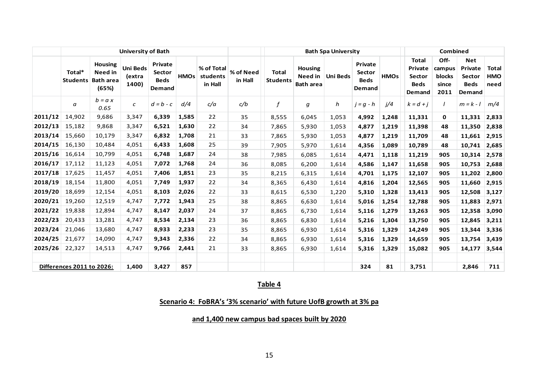|         |                                  |                                                               | <b>University of Bath</b>          |                                            |             |                                   |                      |                                 |                                               | <b>Bath Spa University</b> |                                            | Combined    |                                                                   |                                                  |                                                          |                                    |  |
|---------|----------------------------------|---------------------------------------------------------------|------------------------------------|--------------------------------------------|-------------|-----------------------------------|----------------------|---------------------------------|-----------------------------------------------|----------------------------|--------------------------------------------|-------------|-------------------------------------------------------------------|--------------------------------------------------|----------------------------------------------------------|------------------------------------|--|
|         | Total*<br><b>Students</b>        | <b>Housing</b><br><b>Need</b> in<br><b>Bath area</b><br>(65%) | <b>Uni Beds</b><br>(extra<br>1400) | Private<br>Sector<br><b>Beds</b><br>Demand | <b>HMOs</b> | % of Total<br>students<br>in Hall | % of Need<br>in Hall | <b>Total</b><br><b>Students</b> | <b>Housing</b><br>Need in<br><b>Bath area</b> | <b>Uni Beds</b>            | Private<br>Sector<br><b>Beds</b><br>Demand | <b>HMOs</b> | <b>Total</b><br>Private<br><b>Sector</b><br><b>Beds</b><br>Demand | Off-<br>campus<br><b>blocks</b><br>since<br>2011 | <b>Net</b><br>Private<br>Sector<br><b>Beds</b><br>Demand | <b>Total</b><br><b>HMO</b><br>need |  |
|         | a                                | $b = a x$<br>0.65                                             | $\mathcal{C}$                      | $d = b - c$                                | d/4         | c/a                               | c/b                  | f                               | g                                             | h                          | $j = g - h$                                | j/4         | $k = d + j$                                                       | $\prime$                                         | $m = k - l$                                              | m/4                                |  |
| 2011/12 | 14,902                           | 9,686                                                         | 3,347                              | 6,339                                      | 1,585       | 22                                | 35                   | 8,555                           | 6,045                                         | 1,053                      | 4,992                                      | 1,248       | 11,331                                                            | 0                                                | 11,331                                                   | 2,833                              |  |
| 2012/13 | 15,182                           | 9,868                                                         | 3,347                              | 6,521                                      | 1,630       | 22                                | 34                   | 7,865                           | 5,930                                         | 1,053                      | 4,877                                      | 1,219       | 11,398                                                            | 48                                               | 11,350                                                   | 2,838                              |  |
| 2013/14 | 15,660                           | 10,179                                                        | 3,347                              | 6,832                                      | 1,708       | 21                                | 33                   | 7,865                           | 5,930                                         | 1,053                      | 4,877                                      | 1,219       | 11,709                                                            | 48                                               | 11,661                                                   | 2,915                              |  |
| 2014/15 | 16,130                           | 10,484                                                        | 4,051                              | 6,433                                      | 1,608       | 25                                | 39                   | 7,905                           | 5,970                                         | 1,614                      | 4,356                                      | 1,089       | 10,789                                                            | 48                                               | 10,741                                                   | 2,685                              |  |
| 2015/16 | 16,614                           | 10,799                                                        | 4,051                              | 6,748                                      | 1,687       | 24                                | 38                   | 7,985                           | 6,085                                         | 1,614                      | 4,471                                      | 1,118       | 11,219                                                            | 905                                              | 10,314                                                   | 2,578                              |  |
| 2016/17 | 17,112                           | 11,123                                                        | 4,051                              | 7,072                                      | 1,768       | 24                                | 36                   | 8,085                           | 6,200                                         | 1,614                      | 4,586                                      | 1,147       | 11,658                                                            | 905                                              | 10,753                                                   | 2,688                              |  |
| 2017/18 | 17,625                           | 11,457                                                        | 4,051                              | 7,406                                      | 1,851       | 23                                | 35                   | 8,215                           | 6,315                                         | 1,614                      | 4,701                                      | 1,175       | 12,107                                                            | 905                                              | 11,202                                                   | 2,800                              |  |
| 2018/19 | 18,154                           | 11,800                                                        | 4,051                              | 7,749                                      | 1,937       | 22                                | 34                   | 8,365                           | 6,430                                         | 1,614                      | 4,816                                      | 1,204       | 12,565                                                            | 905                                              | 11,660                                                   | 2,915                              |  |
| 2019/20 | 18,699                           | 12,154                                                        | 4,051                              | 8,103                                      | 2,026       | 22                                | 33                   | 8,615                           | 6,530                                         | 1,220                      | 5,310                                      | 1,328       | 13,413                                                            | 905                                              | 12,508                                                   | 3,127                              |  |
| 2020/21 | 19,260                           | 12,519                                                        | 4,747                              | 7,772                                      | 1,943       | 25                                | 38                   | 8,865                           | 6,630                                         | 1,614                      | 5,016                                      | 1,254       | 12,788                                                            | 905                                              | 11,883                                                   | 2,971                              |  |
| 2021/22 | 19,838                           | 12,894                                                        | 4,747                              | 8,147                                      | 2,037       | 24                                | 37                   | 8,865                           | 6,730                                         | 1,614                      | 5,116                                      | 1,279       | 13,263                                                            | 905                                              | 12,358                                                   | 3,090                              |  |
| 2022/23 | 20,433                           | 13,281                                                        | 4,747                              | 8,534                                      | 2,134       | 23                                | 36                   | 8,865                           | 6,830                                         | 1,614                      | 5,216                                      | 1,304       | 13,750                                                            | 905                                              | 12,845                                                   | 3,211                              |  |
| 2023/24 | 21,046                           | 13,680                                                        | 4,747                              | 8,933                                      | 2,233       | 23                                | 35                   | 8,865                           | 6,930                                         | 1,614                      | 5,316                                      | 1,329       | 14,249                                                            | 905                                              | 13,344                                                   | 3,336                              |  |
| 2024/25 | 21,677                           | 14,090                                                        | 4,747                              | 9,343                                      | 2,336       | 22                                | 34                   | 8,865                           | 6,930                                         | 1,614                      | 5,316                                      | 1,329       | 14,659                                                            | 905                                              | 13,754                                                   | 3,439                              |  |
| 2025/26 | 22,327                           | 14,513                                                        | 4,747                              | 9,766                                      | 2,441       | 21                                | 33                   | 8,865                           | 6,930                                         | 1,614                      | 5,316                                      | 1,329       | 15,082                                                            | 905                                              | 14,177                                                   | 3,544                              |  |
|         | <b>Differences 2011 to 2026:</b> |                                                               | 1,400                              | 3,427                                      | 857         |                                   |                      |                                 |                                               |                            | 324                                        | 81          | 3,751                                                             |                                                  | 2,846                                                    | 711                                |  |
|         |                                  |                                                               |                                    |                                            |             |                                   |                      | Toblo 1                         |                                               |                            |                                            |             |                                                                   |                                                  |                                                          |                                    |  |

**Scenario 4: FoBRA's '3% scenario' with future UofB growth at 3% pa** 

**and 1,400 new campus bad spaces built by 2020**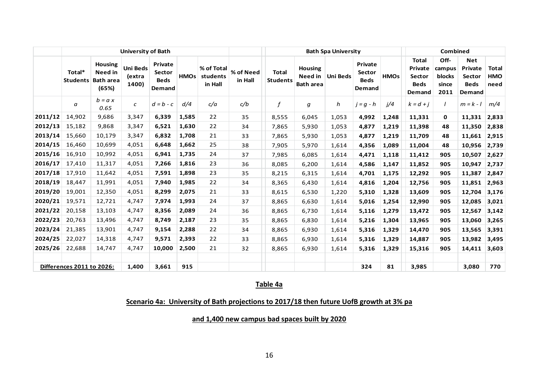|         |                                  |                                                               | <b>University of Bath</b>          |                                            |             |                                   |                      |                                 |                                               | <b>Bath Spa University</b> |                                            | <b>Combined</b> |                                                            |                                           |                                                                 |                             |
|---------|----------------------------------|---------------------------------------------------------------|------------------------------------|--------------------------------------------|-------------|-----------------------------------|----------------------|---------------------------------|-----------------------------------------------|----------------------------|--------------------------------------------|-----------------|------------------------------------------------------------|-------------------------------------------|-----------------------------------------------------------------|-----------------------------|
|         | Total*<br><b>Students</b>        | <b>Housing</b><br><b>Need</b> in<br><b>Bath area</b><br>(65%) | <b>Uni Beds</b><br>(extra<br>1400) | Private<br>Sector<br><b>Beds</b><br>Demand | <b>HMOs</b> | % of Total<br>students<br>in Hall | % of Need<br>in Hall | <b>Total</b><br><b>Students</b> | <b>Housing</b><br>Need in<br><b>Bath area</b> | <b>Uni Beds</b>            | Private<br>Sector<br><b>Beds</b><br>Demand | <b>HMOs</b>     | Total<br>Private<br><b>Sector</b><br><b>Beds</b><br>Demand | Off-<br>campus<br>blocks<br>since<br>2011 | <b>Net</b><br>Private<br><b>Sector</b><br><b>Beds</b><br>Demand | Total<br><b>HMO</b><br>need |
|         | a                                | $b = a x$<br>0.65                                             | $\epsilon$                         | $d = b - c$                                | d/4         | c/a                               | c/b                  | f                               | g                                             | h                          | $j = g - h$                                | j/4             | $k = d + j$                                                | $\prime$                                  | $m = k - l$                                                     | m/4                         |
| 2011/12 | 14,902                           | 9,686                                                         | 3,347                              | 6,339                                      | 1,585       | 22                                | 35                   | 8,555                           | 6,045                                         | 1,053                      | 4,992                                      | 1,248           | 11,331                                                     | $\mathbf{0}$                              | 11,331                                                          | 2,833                       |
| 2012/13 | 15,182                           | 9,868                                                         | 3,347                              | 6,521                                      | 1,630       | 22                                | 34                   | 7,865                           | 5,930                                         | 1,053                      | 4,877                                      | 1,219           | 11,398                                                     | 48                                        | 11,350                                                          | 2,838                       |
| 2013/14 | 15,660                           | 10,179                                                        | 3,347                              | 6,832                                      | 1,708       | 21                                | 33                   | 7,865                           | 5,930                                         | 1,053                      | 4,877                                      | 1,219           | 11,709                                                     | 48                                        | 11,661                                                          | 2,915                       |
| 2014/15 | 16,460                           | 10,699                                                        | 4,051                              | 6,648                                      | 1,662       | 25                                | 38                   | 7,905                           | 5,970                                         | 1,614                      | 4,356                                      | 1,089           | 11,004                                                     | 48                                        | 10,956                                                          | 2,739                       |
| 2015/16 | 16,910                           | 10,992                                                        | 4,051                              | 6,941                                      | 1,735       | 24                                | 37                   | 7,985                           | 6,085                                         | 1,614                      | 4,471                                      | 1,118           | 11,412                                                     | 905                                       | 10,507                                                          | 2,627                       |
| 2016/17 | 17,410                           | 11,317                                                        | 4,051                              | 7,266                                      | 1,816       | 23                                | 36                   | 8,085                           | 6,200                                         | 1,614                      | 4,586                                      | 1,147           | 11,852                                                     | 905                                       | 10,947                                                          | 2,737                       |
| 2017/18 | 17,910                           | 11,642                                                        | 4,051                              | 7,591                                      | 1,898       | 23                                | 35                   | 8,215                           | 6,315                                         | 1,614                      | 4,701                                      | 1,175           | 12,292                                                     | 905                                       | 11,387                                                          | 2,847                       |
| 2018/19 | 18,447                           | 11,991                                                        | 4,051                              | 7,940                                      | 1,985       | 22                                | 34                   | 8,365                           | 6,430                                         | 1,614                      | 4,816                                      | 1,204           | 12,756                                                     | 905                                       | 11,851                                                          | 2,963                       |
| 2019/20 | 19,001                           | 12,350                                                        | 4,051                              | 8,299                                      | 2,075       | 21                                | 33                   | 8,615                           | 6,530                                         | 1,220                      | 5,310                                      | 1,328           | 13,609                                                     | 905                                       | 12,704                                                          | 3,176                       |
| 2020/21 | 19,571                           | 12,721                                                        | 4,747                              | 7,974                                      | 1,993       | 24                                | 37                   | 8,865                           | 6,630                                         | 1,614                      | 5,016                                      | 1,254           | 12,990                                                     | 905                                       | 12,085                                                          | 3,021                       |
| 2021/22 | 20,158                           | 13,103                                                        | 4,747                              | 8,356                                      | 2,089       | 24                                | 36                   | 8,865                           | 6,730                                         | 1,614                      | 5,116                                      | 1,279           | 13,472                                                     | 905                                       | 12,567                                                          | 3,142                       |
| 2022/23 | 20,763                           | 13,496                                                        | 4,747                              | 8,749                                      | 2,187       | 23                                | 35                   | 8,865                           | 6,830                                         | 1,614                      | 5,216                                      | 1,304           | 13,965                                                     | 905                                       | 13,060                                                          | 3,265                       |
| 2023/24 | 21,385                           | 13,901                                                        | 4.747                              | 9,154                                      | 2,288       | 22                                | 34                   | 8,865                           | 6,930                                         | 1,614                      | 5,316                                      | 1,329           | 14,470                                                     | 905                                       | 13,565                                                          | 3,391                       |
| 2024/25 | 22,027                           | 14,318                                                        | 4,747                              | 9,571                                      | 2,393       | 22                                | 33                   | 8,865                           | 6,930                                         | 1,614                      | 5,316                                      | 1,329           | 14,887                                                     | 905                                       | 13,982                                                          | 3,495                       |
| 2025/26 | 22,688                           | 14,747                                                        | 4,747                              | 10,000                                     | 2,500       | 21                                | 32                   | 8,865                           | 6,930                                         | 1,614                      | 5,316                                      | 1,329           | 15,316                                                     | 905                                       | 14,411                                                          | 3,603                       |
|         | <b>Differences 2011 to 2026:</b> |                                                               | 1,400                              | 3,661                                      | 915         |                                   |                      |                                 |                                               |                            | 324                                        | 81              | 3,985                                                      |                                           | 3,080                                                           | 770                         |
|         |                                  |                                                               |                                    |                                            |             |                                   |                      | Tablo 1a                        |                                               |                            |                                            |                 |                                                            |                                           |                                                                 |                             |

# **Table 4a**

# **Scenario 4a: University of Bath projections to 2017/18 then future UofB growth at 3% pa**

**and 1,400 new campus bad spaces built by 2020**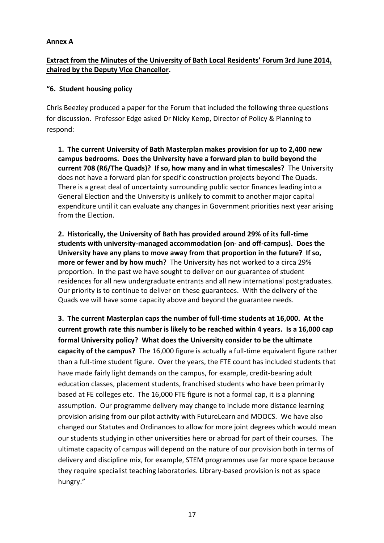#### **Annex A**

### **Extract from the Minutes of the University of Bath Local Residents' Forum 3rd June 2014, chaired by the Deputy Vice Chancellor.**

#### **"6. Student housing policy**

Chris Beezley produced a paper for the Forum that included the following three questions for discussion. Professor Edge asked Dr Nicky Kemp, Director of Policy & Planning to respond:

**1. The current University of Bath Masterplan makes provision for up to 2,400 new campus bedrooms. Does the University have a forward plan to build beyond the current 708 (R6/The Quads)? If so, how many and in what timescales?** The University does not have a forward plan for specific construction projects beyond The Quads. There is a great deal of uncertainty surrounding public sector finances leading into a General Election and the University is unlikely to commit to another major capital expenditure until it can evaluate any changes in Government priorities next year arising from the Election.

**2. Historically, the University of Bath has provided around 29% of its full-time students with university-managed accommodation (on- and off-campus). Does the University have any plans to move away from that proportion in the future? If so, more or fewer and by how much?** The University has not worked to a circa 29% proportion. In the past we have sought to deliver on our guarantee of student residences for all new undergraduate entrants and all new international postgraduates. Our priority is to continue to deliver on these guarantees. With the delivery of the Quads we will have some capacity above and beyond the guarantee needs.

**3. The current Masterplan caps the number of full-time students at 16,000. At the current growth rate this number is likely to be reached within 4 years. Is a 16,000 cap formal University policy? What does the University consider to be the ultimate capacity of the campus?** The 16,000 figure is actually a full-time equivalent figure rather than a full-time student figure. Over the years, the FTE count has included students that have made fairly light demands on the campus, for example, credit-bearing adult education classes, placement students, franchised students who have been primarily based at FE colleges etc. The 16,000 FTE figure is not a formal cap, it is a planning assumption. Our programme delivery may change to include more distance learning provision arising from our pilot activity with FutureLearn and MOOCS. We have also changed our Statutes and Ordinances to allow for more joint degrees which would mean our students studying in other universities here or abroad for part of their courses. The ultimate capacity of campus will depend on the nature of our provision both in terms of delivery and discipline mix, for example, STEM programmes use far more space because they require specialist teaching laboratories. Library-based provision is not as space hungry."